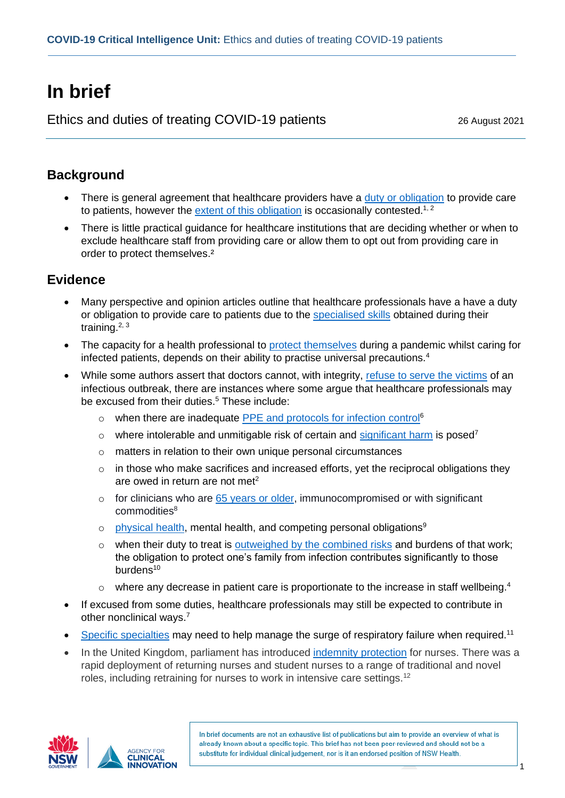# **In brief**

Ethics and duties of treating COVID-19 patients 26 August 2021

## **Background**

- There is general agreement that healthcare providers have a [duty or obligation](https://jme.bmj.com/content/47/1/12.long) to provide care to patients, however the [extent of this obligation](https://pubmed.ncbi.nlm.nih.gov/33656454/) is occasionally contested.<sup>1, 2</sup>
- There is little practical guidance for healthcare institutions that are deciding whether or when to exclude healthcare staff from providing care or allow them to opt out from providing care in order to protect themselves.<sup>2</sup>

### **Evidence**

- Many perspective and opinion articles outline that healthcare professionals have a have a duty or obligation to provide care to patients due to the [specialised skills](https://pubmed.ncbi.nlm.nih.gov/32880548/) obtained during their training.<sup>2, 3</sup>
- The capacity for a health professional to [protect themselves](https://jme.bmj.com/content/47/5/318.long) during a pandemic whilst caring for infected patients, depends on their ability to practise universal precautions.<sup>4</sup>
- While some authors assert that doctors cannot, with integrity, [refuse to serve the victims](https://pubmed.ncbi.nlm.nih.gov/33354990/) of an infectious outbreak, there are instances where some argue that healthcare professionals may be excused from their duties. <sup>5</sup> These include:
	- o when there are inadequate [PPE and protocols for infection control](https://pubmed.ncbi.nlm.nih.gov/32900388/)<sup>6</sup>
	- $\circ$  where intolerable and unmitigable risk of certain and [significant harm](https://www.cambridge.org/core/journals/canadian-journal-of-emergency-medicine/article/ethical-considerations-of-the-duty-to-care-and-physician-safety-in-the-covid19-pandemic/54027F8895DC73BCAE6B236A0601ECFE) is posed<sup>7</sup>
	- o matters in relation to their own unique personal circumstances
	- o in those who make sacrifices and increased efforts, yet the reciprocal obligations they are owed in return are not met<sup>2</sup>
	- o for clinicians who are [65 years or older,](https://www.ncbi.nlm.nih.gov/pmc/articles/PMC7308757/) immunocompromised or with significant commodities<sup>8</sup>
	- o [physical health,](https://www.cambridge.org/core/journals/disaster-medicine-and-public-health-preparedness/article/do-paramedics-have-a-professional-obligation-to-work-during-a-pandemic-a-qualitative-exploration-of-community-member-expectations/6CFAA95EC0E29071C2435AA40D8F582F) mental health, and competing personal obligations<sup>9</sup>
	- o when their duty to treat is [outweighed by the combined risks](https://jme.bmj.com/content/46/6/360.long) and burdens of that work; the obligation to protect one's family from infection contributes significantly to those burdens<sup>10</sup>
	- $\circ$  where any decrease in patient care is proportionate to the increase in staff wellbeing.<sup>4</sup>
- If excused from some duties, healthcare professionals may still be expected to contribute in other nonclinical ways.<sup>7</sup>
- [Specific specialties](https://n.neurology.org/content/95/4/167.long) may need to help manage the surge of respiratory failure when required.<sup>11</sup>
- In the United Kingdom, parliament has introduced [indemnity protection](https://www.magonlinelibrary.com/doi/full/10.12968/bjon.2020.29.9.537?rfr_dat=cr_pub++0pubmed&url_ver=Z39.88-2003&rfr_id=ori%3Arid%3Acrossref.org) for nurses. There was a rapid deployment of returning nurses and student nurses to a range of traditional and novel roles, including retraining for nurses to work in intensive care settings.<sup>12</sup>





In brief documents are not an exhaustive list of publications but aim to provide an overview of what is already known about a specific topic. This brief has not been peer-reviewed and should not be a substitute for individual clinical judgement, nor is it an endorsed position of NSW Health.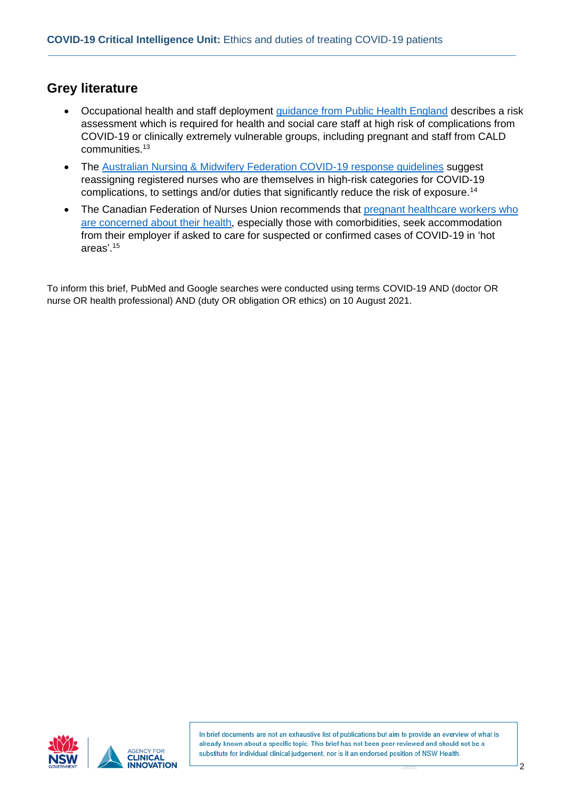#### **Grey literature**

- Occupational health and staff deployment quidance from Public Health England describes a risk assessment which is required for health and social care staff at high risk of complications from COVID-19 or clinically extremely vulnerable groups, including pregnant and staff from CALD communities. 13
- The Australian Nursing & Midwifery Federation COVID-19 response quidelines suggest reassigning registered nurses who are themselves in high-risk categories for COVID-19 complications, to settings and/or duties that significantly reduce the risk of exposure.<sup>14</sup>
- The Canadian Federation of Nurses Union recommends that pregnant healthcare workers who [are concerned about their health,](https://fcsii.ca/les-travailleuses-de-la-sante-enceintes-covid-19/) especially those with comorbidities, seek accommodation from their employer if asked to care for suspected or confirmed cases of COVID-19 in 'hot areas'. 15

To inform this brief, PubMed and Google searches were conducted using terms COVID-19 AND (doctor OR nurse OR health professional) AND (duty OR obligation OR ethics) on 10 August 2021.





In brief documents are not an exhaustive list of publications but aim to provide an overview of what is already known about a specific topic. This brief has not been peer-reviewed and should not be a substitute for individual clinical judgement, nor is it an endorsed position of NSW Health.